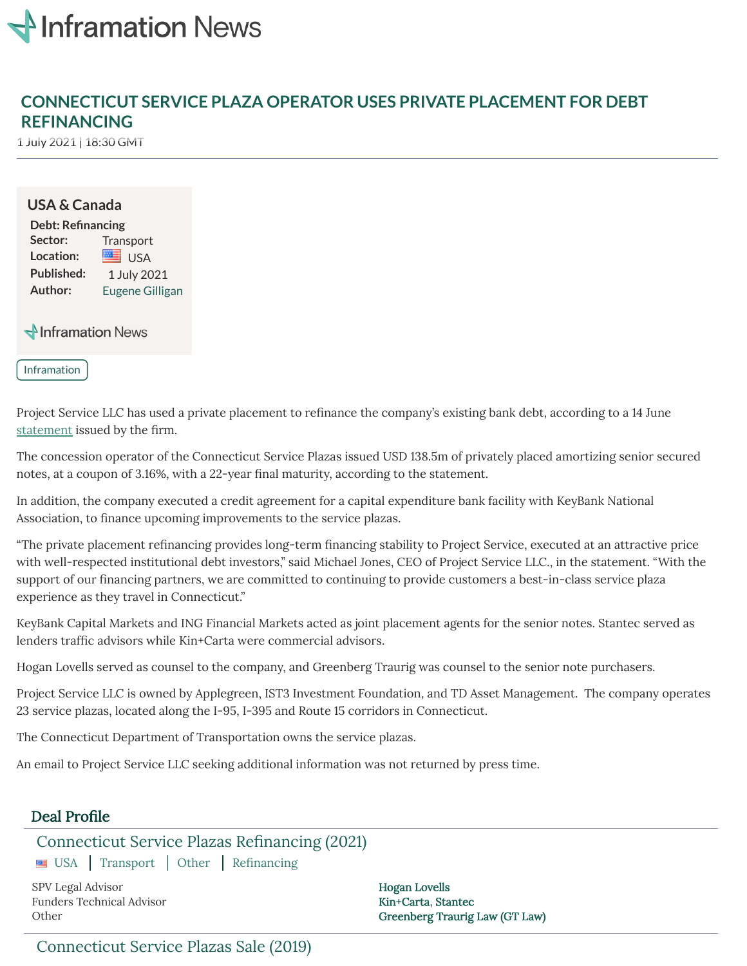

# **CONNECTICUT SERVICE PLAZA OPERATOR USES PRIVATE PLACEMENT FOR DEBT REFINANCING**

1 July 2021 | 18:30 GMT

#### **USA & Canada**

**Debt: Renancing** Sector: Transport Location: **EXAMPLE** USA Published: 1 July 2021 **Author:** Eugene [Gilligan](mailto:eugene.gilligan@acuris.com)

Minframation News

Inframation

Project Service LLC has used a private placement to refinance the company's existing bank debt, according to a 14 June [statement](http://www.ctserviceplazas.com/refinancing) issued by the firm.

The concession operator of the Connecticut Service Plazas issued USD 138.5m of privately placed amortizing senior secured notes, at a coupon of 3.16%, with a 22-year final maturity, according to the statement.

In addition, the company executed a credit agreement for a capital expenditure bank facility with KeyBank National Association, to finance upcoming improvements to the service plazas.

"The private placement refinancing provides long-term financing stability to Project Service, executed at an attractive price with well-respected institutional debt investors," said Michael Jones, CEO of Project Service LLC., in the statement. "With the support of our financing partners, we are committed to continuing to provide customers a best-in-class service plaza experience as they travel in Connecticut."

KeyBank Capital Markets and ING Financial Markets acted as joint placement agents for the senior notes. Stantec served as lenders traffic advisors while Kin+Carta were commercial advisors.

Hogan Lovells served as counsel to the company, and Greenberg Traurig was counsel to the senior note purchasers.

Project Service LLC is owned by Applegreen, IST3 Investment Foundation, and TD Asset Management. The company operates 23 service plazas, located along the I-95, I-395 and Route 15 corridors in Connecticut.

The Connecticut Department of Transportation owns the service plazas.

An email to Project Service LLC seeking additional information was not returned by press time.

### Deal Profile

### [Connecticut](https://www.inframationnews.com/deals/8785181/greenfield.thtml) Service Plazas Refinancing (2021)

USA Transport Other Refinancing

SPV Legal Advisor **Hogan [Lovells](https://www.inframationnews.com/advisors/761738/Hogan+Lovells.thtml)** Funders Technical Advisor [Kin+Carta](https://www.inframationnews.com/advisors/8785236/Kin%2BCarta.thtml), [Stantec](https://www.inframationnews.com/advisors/1289327/Stantec.thtml)

Other [Greenberg](https://www.inframationnews.com/advisors/301791/Greenberg+Traurig+Law+%28GT+Law%29.thtml) Traurig Law (GT Law)

## [Connecticut](https://www.inframationnews.com/deals/3215951/connecticut-service-plazas-sale-2019.thtml) Service Plazas Sale (2019)